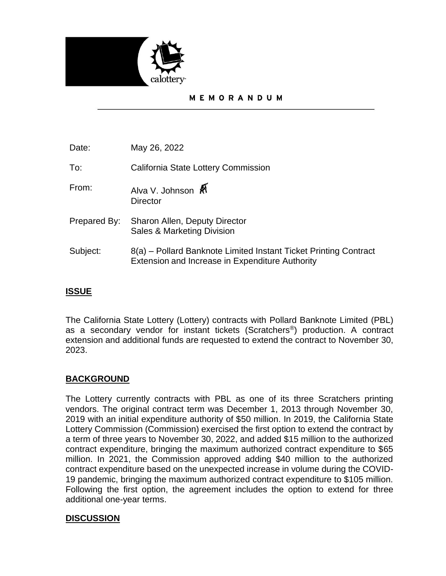

### MEMORANDUM

| Date:        | May 26, 2022                                                                                                        |
|--------------|---------------------------------------------------------------------------------------------------------------------|
| To:          | California State Lottery Commission                                                                                 |
| From:        | Alva V. Johnson<br><b>Director</b>                                                                                  |
| Prepared By: | Sharon Allen, Deputy Director<br>Sales & Marketing Division                                                         |
| Subject:     | 8(a) – Pollard Banknote Limited Instant Ticket Printing Contract<br>Extension and Increase in Expenditure Authority |

# **ISSUE**

The California State Lottery (Lottery) contracts with Pollard Banknote Limited (PBL) as a secondary vendor for instant tickets (Scratchers®) production. A contract extension and additional funds are requested to extend the contract to November 30, 2023.

## **BACKGROUND**

The Lottery currently contracts with PBL as one of its three Scratchers printing vendors. The original contract term was December 1, 2013 through November 30, 2019 with an initial expenditure authority of \$50 million. In 2019, the California State Lottery Commission (Commission) exercised the first option to extend the contract by a term of three years to November 30, 2022, and added \$15 million to the authorized contract expenditure, bringing the maximum authorized contract expenditure to \$65 million. In 2021, the Commission approved adding \$40 million to the authorized contract expenditure based on the unexpected increase in volume during the COVID-19 pandemic, bringing the maximum authorized contract expenditure to \$105 million. Following the first option, the agreement includes the option to extend for three additional one-year terms.

## **DISCUSSION**